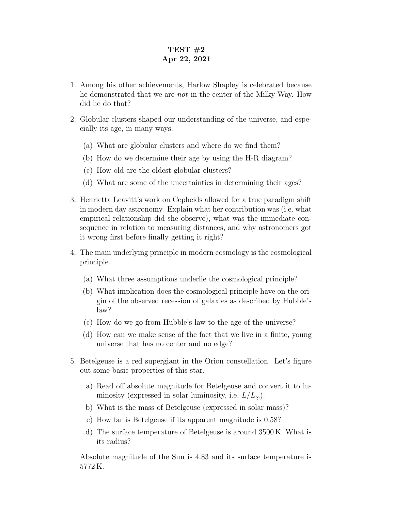## TEST  $#2$ Apr 22, 2021

- 1. Among his other achievements, Harlow Shapley is celebrated because he demonstrated that we are not in the center of the Milky Way. How did he do that?
- 2. Globular clusters shaped our understanding of the universe, and especially its age, in many ways.
	- (a) What are globular clusters and where do we find them?
	- (b) How do we determine their age by using the H-R diagram?
	- (c) How old are the oldest globular clusters?
	- (d) What are some of the uncertainties in determining their ages?
- 3. Henrietta Leavitt's work on Cepheids allowed for a true paradigm shift in modern day astronomy. Explain what her contribution was (i.e. what empirical relationship did she observe), what was the immediate consequence in relation to measuring distances, and why astronomers got it wrong first before finally getting it right?
- 4. The main underlying principle in modern cosmology is the cosmological principle.
	- (a) What three assumptions underlie the cosmological principle?
	- (b) What implication does the cosmological principle have on the origin of the observed recession of galaxies as described by Hubble's law?
	- (c) How do we go from Hubble's law to the age of the universe?
	- (d) How can we make sense of the fact that we live in a finite, young universe that has no center and no edge?
- 5. Betelgeuse is a red supergiant in the Orion constellation. Let's figure out some basic properties of this star.
	- a) Read off absolute magnitude for Betelgeuse and convert it to luminosity (expressed in solar luminosity, i.e.  $L/L_{\odot}$ ).
	- b) What is the mass of Betelgeuse (expressed in solar mass)?
	- c) How far is Betelgeuse if its apparent magnitude is 0.58?
	- d) The surface temperature of Betelgeuse is around 3500 K. What is its radius?

Absolute magnitude of the Sun is 4.83 and its surface temperature is 5772 K.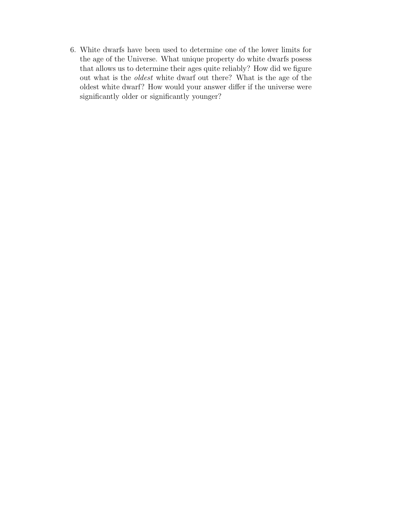6. White dwarfs have been used to determine one of the lower limits for the age of the Universe. What unique property do white dwarfs posess that allows us to determine their ages quite reliably? How did we figure out what is the oldest white dwarf out there? What is the age of the oldest white dwarf? How would your answer differ if the universe were significantly older or significantly younger?